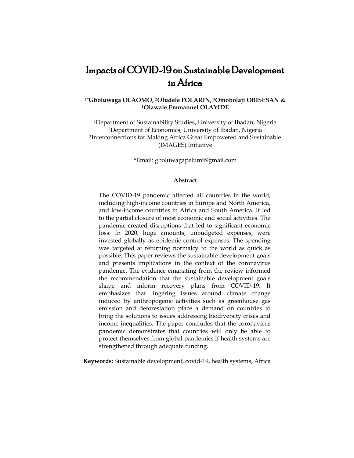# Impacts of COVID-19 on Sustainable Development in Africa

# **1\*Gboluwaga OLAOMO, 2Oludele FOLARIN, 3Omobolaji OBISESAN & <sup>1</sup>Olawale Emmanuel OLAYIDE**

Department of Sustainability Studies, University of Ibadan, Nigeria Department of Economics, University of Ibadan, Nigeria Interconnections for Making Africa Great Empowered and Sustainable (IMAGES) Initiative

\*Email: gboluwagapelumi@gmail.com

#### **Abstract**

The COVID-19 pandemic affected all countries in the world, including high-income countries in Europe and North America, and low-income countries in Africa and South America. It led to the partial closure of most economic and social activities. The pandemic created disruptions that led to significant economic loss. In 2020, huge amounts, unbudgeted expenses, were invested globally as epidemic control expenses. The spending was targeted at returning normalcy to the world as quick as possible. This paper reviews the sustainable development goals and presents implications in the context of the coronavirus pandemic. The evidence emanating from the review informed the recommendation that the sustainable development goals shape and inform recovery plans from COVID-19. It emphasizes that lingering issues around climate change induced by anthropogenic activities such as greenhouse gas emission and deforestation place a demand on countries to bring the solutions to issues addressing biodiversity crises and income inequalities. The paper concludes that the coronavirus pandemic demonstrates that countries will only be able to protect themselves from global pandemics if health systems are strengthened through adequate funding.

**Keywords:** Sustainable development, covid-19, health systems, Africa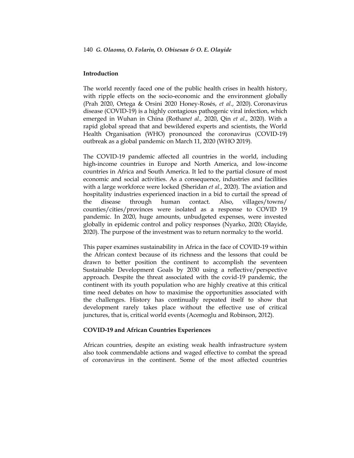# **Introduction**

The world recently faced one of the public health crises in health history, with ripple effects on the socio-economic and the environment globally (Prah 2020, Ortega & Orsini 2020 Honey-Rosés, *et al*., 2020). Coronavirus disease (COVID-19) is a highly contagious pathogenic viral infection, which emerged in Wuhan in China (Rothan*et al.,* 2020, Qin *et al*., 2020). With a rapid global spread that and bewildered experts and scientists, the World Health Organisation (WHO) pronounced the coronavirus (COVID-19) outbreak as a global pandemic on March 11, 2020 (WHO 2019).

The COVID-19 pandemic affected all countries in the world, including high-income countries in Europe and North America, and low-income countries in Africa and South America. It led to the partial closure of most economic and social activities. As a consequence, industries and facilities with a large workforce were locked (Sheridan *et al.,* 2020). The aviation and hospitality industries experienced inaction in a bid to curtail the spread of the disease through human contact. Also, villages/towns/ counties/cities/provinces were isolated as a response to COVID 19 pandemic. In 2020, huge amounts, unbudgeted expenses, were invested globally in epidemic control and policy responses (Nyarko, 2020; Olayide, 2020). The purpose of the investment was to return normalcy to the world.

This paper examines sustainability in Africa in the face of COVID-19 within the African context because of its richness and the lessons that could be drawn to better position the continent to accomplish the seventeen Sustainable Development Goals by 2030 using a reflective/perspective approach. Despite the threat associated with the covid-19 pandemic, the continent with its youth population who are highly creative at this critical time need debates on how to maximise the opportunities associated with the challenges. History has continually repeated itself to show that development rarely takes place without the effective use of critical junctures, that is, critical world events (Acemoglu and Robinson, 2012).

#### **COVID-19 and African Countries Experiences**

African countries, despite an existing weak health infrastructure system also took commendable actions and waged effective to combat the spread of coronavirus in the continent. Some of the most affected countries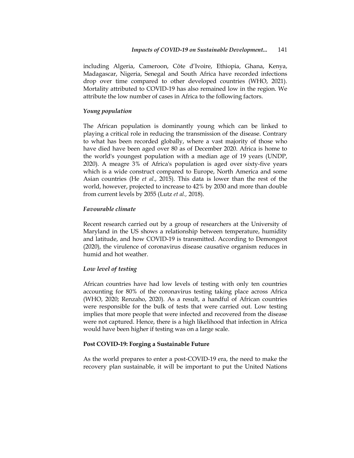including Algeria, Cameroon, Côte d'Ivoire, Ethiopia, Ghana, Kenya, Madagascar, Nigeria, Senegal and South Africa have recorded infections drop over time compared to other developed countries (WHO, 2021). Mortality attributed to COVID-19 has also remained low in the region. We attribute the low number of cases in Africa to the following factors.

# *Young population*

The African population is dominantly young which can be linked to playing a critical role in reducing the transmission of the disease. Contrary to what has been recorded globally, where a vast majority of those who have died have been aged over 80 as of December 2020. Africa is home to the world's youngest population with a median age of 19 years (UNDP, 2020). A meagre 3% of Africa's population is aged over sixty-five years which is a wide construct compared to Europe, North America and some Asian countries (He *et al*., 2015). This data is lower than the rest of the world, however, projected to increase to 42% by 2030 and more than double from current levels by 2055 (Lutz *et al.,* 2018).

#### *Favourable climate*

Recent research carried out by a group of researchers at the University of Maryland in the US shows a relationship between temperature, humidity and latitude, and how COVID-19 is transmitted. According to Demongeot (2020), the virulence of coronavirus disease causative organism reduces in humid and hot weather.

# *Low level of testing*

African countries have had low levels of testing with only ten countries accounting for 80% of the coronavirus testing taking place across Africa (WHO, 2020; Renzaho, 2020). As a result, a handful of African countries were responsible for the bulk of tests that were carried out. Low testing implies that more people that were infected and recovered from the disease were not captured. Hence, there is a high likelihood that infection in Africa would have been higher if testing was on a large scale.

#### **Post COVID-19: Forging a Sustainable Future**

As the world prepares to enter a post-COVID-19 era, the need to make the recovery plan sustainable, it will be important to put the United Nations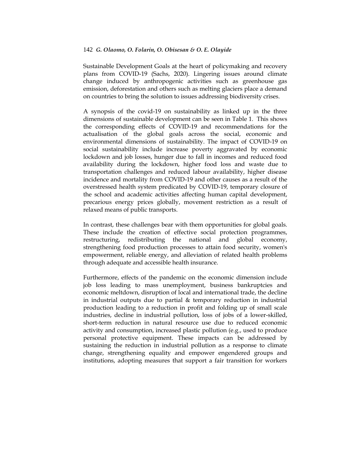Sustainable Development Goals at the heart of policymaking and recovery plans from COVID-19 (Sachs, 2020). Lingering issues around climate change induced by anthropogenic activities such as greenhouse gas emission, deforestation and others such as melting glaciers place a demand on countries to bring the solution to issues addressing biodiversity crises.

A synopsis of the covid-19 on sustainability as linked up in the three dimensions of sustainable development can be seen in Table 1. This shows the corresponding effects of COVID-19 and recommendations for the actualisation of the global goals across the social, economic and environmental dimensions of sustainability. The impact of COVID-19 on social sustainability include increase poverty aggravated by economic lockdown and job losses, hunger due to fall in incomes and reduced food availability during the lockdown, higher food loss and waste due to transportation challenges and reduced labour availability, higher disease incidence and mortality from COVID-19 and other causes as a result of the overstressed health system predicated by COVID-19, temporary closure of the school and academic activities affecting human capital development, precarious energy prices globally, movement restriction as a result of relaxed means of public transports.

In contrast, these challenges bear with them opportunities for global goals. These include the creation of effective social protection programmes, restructuring, redistributing the national and global economy, strengthening food production processes to attain food security, women's empowerment, reliable energy, and alleviation of related health problems through adequate and accessible health insurance.

Furthermore, effects of the pandemic on the economic dimension include job loss leading to mass unemployment, business bankruptcies and economic meltdown, disruption of local and international trade, the decline in industrial outputs due to partial & temporary reduction in industrial production leading to a reduction in profit and folding up of small scale industries, decline in industrial pollution, loss of jobs of a lower-skilled, short-term reduction in natural resource use due to reduced economic activity and consumption, increased plastic pollution (e.g., used to produce personal protective equipment. These impacts can be addressed by sustaining the reduction in industrial pollution as a response to climate change, strengthening equality and empower engendered groups and institutions, adopting measures that support a fair transition for workers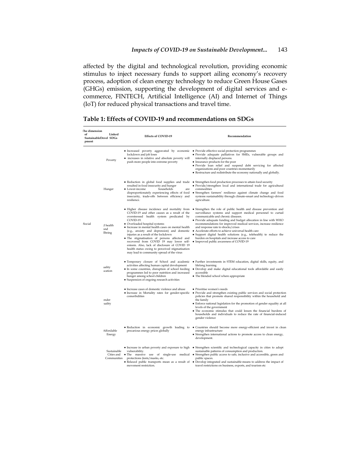affected by the digital and technological revolution, providing economic stimulus to inject necessary funds to support ailing economy's recovery process, adoption of clean energy technology to reduce Green House Gases (GHGs) emission, supporting the development of digital services and ecommerce, FINTECH, Artificial Intelligence (AI) and Internet of Things (IoT) for reduced physical transactions and travel time.

| The dimension<br>of<br>Linked<br>SustainableDevel SDGs<br>pment |                                          | <b>Effects of COVID-19</b>                                                                                                                                                                                                                                                                                                                                                                                                                                                                                                                                                      | Recommendation                                                                                                                                                                                                                                                                                                                                                                                                                                                                                                                                                                          |
|-----------------------------------------------------------------|------------------------------------------|---------------------------------------------------------------------------------------------------------------------------------------------------------------------------------------------------------------------------------------------------------------------------------------------------------------------------------------------------------------------------------------------------------------------------------------------------------------------------------------------------------------------------------------------------------------------------------|-----------------------------------------------------------------------------------------------------------------------------------------------------------------------------------------------------------------------------------------------------------------------------------------------------------------------------------------------------------------------------------------------------------------------------------------------------------------------------------------------------------------------------------------------------------------------------------------|
|                                                                 | Poverty                                  | • Increased poverty aggravated by economic • Provide effective social protection programmes<br>lockdown and job loses<br>• increases in relative and absolute poverty will<br>push more people into extreme poverty                                                                                                                                                                                                                                                                                                                                                             | · Provide adequate palliatives for SMEs, vulnerable groups and<br>internally displaced persons.<br>• Insurance products for the poor<br>· Provide loan relief and suspend debt servicing for affected<br>organizations and poor countries momentarily<br>• Restructure and redistribute the economy nationally and globally.                                                                                                                                                                                                                                                            |
|                                                                 | Hunger                                   | • Reduction in global food supplies and trade<br>resulted in food insecurity and hunger<br>• Lower-income<br>households<br>are<br>disproportionately experiencing effects of food<br>insecurity, trade-offs between efficiency and<br>resilience.                                                                                                                                                                                                                                                                                                                               | • Strengthen food production processes to attain food security<br>· Provide/strengthen local and international trade for agricultural<br>commodities<br>• Strengthen farmers' resilience against climate change and food<br>systems sustainability through climate-smart and technology-driven<br>agriculture.                                                                                                                                                                                                                                                                          |
| Social                                                          | d health<br>and<br>lbeing                | • Higher disease incidence and mortality from<br>COVID-19 and other causes as a result of the<br>overstressed health system predicated by<br>COVID-19.<br>• Overloaded hospital systems<br>• Increase in mental health cases on mental health<br>(e.g., anxiety and depression) and domestic<br>injuries as a result of the lockdown<br>· The stigmatisation of persons affected and<br>recovered from COVID 19 may lower self-<br>esteem. Also, lack of disclosure of COVID 19<br>health status owing to perceived stigmatisation<br>may lead to community spread of the virus | • Strengthen the role of public health and disease prevention and<br>surveillance systems and support medical personnel to curtail<br>communicable and chronic diseases.<br>• Provide adequate funding and budget allocation in line with WHO<br>recommendations for improved medical services, increase resilience<br>and response rate to shocks/crises<br>• Accelerate efforts to achieve universal health care<br>• Support digital health solutions (e.g., telehealth) to reduce the<br>burden on hospitals and increase access to care<br>• Improved public awareness of COVID-19 |
|                                                                 | aality<br><b>ication</b>                 | • Temporary closure of School and academic<br>activities affecting human capital development<br>• In some countries, disruption of school feeding<br>programmes led to poor nutrition and increased<br>hunger among school children<br>• Suspension of ongoing research activities                                                                                                                                                                                                                                                                                              | • Further investments in STEM education, digital skills, equity, and<br>lifelong learning<br>• Develop and make digital educational tools affordable and easily<br>accessible<br>• The blended school where appropriate                                                                                                                                                                                                                                                                                                                                                                 |
|                                                                 | ender<br>uality                          | • Increase cases of domestic violence and abuse<br>• Increase in Mortality rates for gender-specific<br>comorbidities                                                                                                                                                                                                                                                                                                                                                                                                                                                           | • Prioritise women's needs<br>• Provide and strengthen existing public services and social protection<br>policies that promote shared responsibility within the household and<br>the family<br>• Enforce national legislation for the promotion of gender equality at all<br>levels of the government<br>• The economic stimulus that could lessen the financial burdens of<br>households and individuals to reduce the rate of financial-induced<br>gender violence                                                                                                                    |
|                                                                 | Affordable<br>Energy                     | precarious energy prices globally                                                                                                                                                                                                                                                                                                                                                                                                                                                                                                                                               | • Reduction in economic growth leading to • Countries should become more energy-efficient and invest in clean<br>energy infrastructure<br>• Strengthen international actions to promote access to clean energy,<br>development.                                                                                                                                                                                                                                                                                                                                                         |
|                                                                 | Sustainable<br>Cities and<br>Communities | vulnerability.<br>protections (tests/masks, etc.<br>movement restriction.                                                                                                                                                                                                                                                                                                                                                                                                                                                                                                       | • Increase in urban poverty and exposure to high • Strengthen scientific and technological capacity in cities to adopt<br>sustainable patterns of consumption and production.<br>• The massive use of single-use medical • Strengthen public access to safe, inclusive and accessible, green and<br>public spaces.<br>• Relaxed public transports mean as a result of • Develop integrated and sustainable means to address the impact of<br>travel restrictions on business, exports, and tourism etc                                                                                  |

| Table 1: Effects of COVID-19 and recommendations on SDGs |  |
|----------------------------------------------------------|--|
|----------------------------------------------------------|--|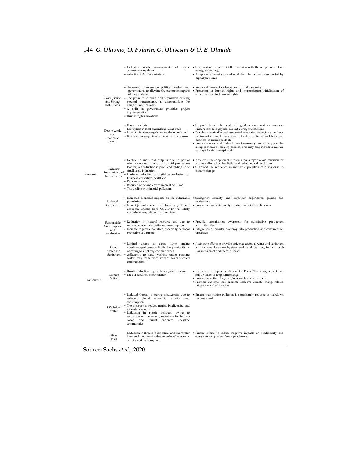|             |                                                 | stations closing down<br>• reduction in GHGs emissions                                                                                                                                                                                                                                                                                                                                           | • Ineffective waste management and recycle • Sustained reduction in GHGs emission with the adoption of clean<br>energy technology<br>• Adoption of Smart city and work from home that is supported by<br>digital platforms                                                                                                                                                                                                                                                                  |
|-------------|-------------------------------------------------|--------------------------------------------------------------------------------------------------------------------------------------------------------------------------------------------------------------------------------------------------------------------------------------------------------------------------------------------------------------------------------------------------|---------------------------------------------------------------------------------------------------------------------------------------------------------------------------------------------------------------------------------------------------------------------------------------------------------------------------------------------------------------------------------------------------------------------------------------------------------------------------------------------|
|             | Peace Justice<br>and Strong<br>Institutions     | governments to alleviate the economic impacts<br>of the pandemic<br>• The pressure to build and strengthen existing<br>medical infrastructure to accommodate the<br>rising number of cases<br>• A shift in government priorities project<br>implementation<br>· Human rights violations                                                                                                          | • Increased pressure on political leaders and • Reduce all forms of violence, conflict and insecurity<br>· Protection of human rights and entrenchment/initialisation of<br>structure to protect human rights                                                                                                                                                                                                                                                                               |
|             | Decent work<br>and<br>Economic<br>growth        | · Economic crisis<br>· Disruption in local and international trade<br>• Loss of job increasing the unemployment level<br>· Business bankruptcies and economic meltdown                                                                                                                                                                                                                           | · Support the development of digital services and e-commerce,<br>fintechetcfor less physical contact during transactions<br>· Develop sustainable and structured territorial strategies to address<br>the impact of travel restrictions on local and international trade and<br>business, tourism, sports etc.<br>· Provide economic stimulus to inject necessary funds to support the<br>ailing economy's recovery process. This may also include a welfare<br>package for the unemployed. |
| Economic    | Industry<br>Infrastructure                      | • Decline in industrial outputs due to partial<br>&temporary reduction in industrial production<br>leading to a reduction in profit and folding up of<br>small-scale industries<br>Innovation and Stuars and municipal digital technologies, for<br>business, education, health etc<br>• Remote working<br>· Reduced noise and environmental pollution<br>• The decline in industrial pollution. | • Accelerate the adoption of measures that support a fair transition for<br>workers affected by the digital and technological revolution<br>Sustained the reduction in industrial pollution as a response to<br>$\bullet$<br>climate change                                                                                                                                                                                                                                                 |
|             | Reduced<br>inequality                           | population<br>economic shocks from COVID-19 will likely<br>exacerbate inequalities in all countries.                                                                                                                                                                                                                                                                                             | • Increased economic impacts on the vulnerable • Strengthen equality and empower engendered groups and<br>institutions<br>• Loss of jobs of lower-skilled, lower-wage labour • Provide strong social safety nets for lower-income brackets                                                                                                                                                                                                                                                  |
|             | Responsible<br>Consumption<br>and<br>production | · Reduction in natural resource use due to<br>reduced economic activity and consumption<br>• Increase in plastic pollution, especially personal<br>protective equipment                                                                                                                                                                                                                          | · Provide sensitisation awareness<br>sustainable production<br>for<br>and lifestyles<br>• Integration of circular economy into production and consumption<br>processes                                                                                                                                                                                                                                                                                                                      |
|             | Good<br>water and<br>Sanitation                 | · Limited access to clean water among<br>disadvantaged groups limits the possibility of<br>adhering to strict hygiene guidelines<br>• Adherence to hand washing under running<br>water may negatively impact water-stressed<br>communities.                                                                                                                                                      | • Accelerate efforts to provide universal access to water and sanitation<br>and increase focus on hygiene and hand washing to help curb<br>transmission of oral-faecal diseases                                                                                                                                                                                                                                                                                                             |
| Environment | Climate<br>Action                               | • Drastic reduction in greenhouse gas emissions<br>• Lack of focus on climate action                                                                                                                                                                                                                                                                                                             | • Focus on the implementation of the Paris Climate Agreement that<br>sets a vision for long-term change<br>• Provide incentives for green/renewable energy sources<br>· Promote systems that promote effective climate change-related<br>mitigation and adaptation.                                                                                                                                                                                                                         |
|             | Life below<br>water                             | • Reduced threats to marine biodiversity due to<br>reduced<br>global<br>economic<br>activity<br>and<br>consumption<br>• The pressure to reduce marine biodiversity and<br>ecosystem safeguards<br>· Reduction in plastic pollutant owing to<br>restriction on movement, especially for tourist-<br>based<br>and<br>tourist<br>endowed<br>coastline<br>communities                                | • Ensure that marine pollution is significantly reduced as lockdown<br>become eased                                                                                                                                                                                                                                                                                                                                                                                                         |
|             | Life on<br>land                                 | • Reduction in threats to terrestrial and freshwater<br>lives and biodiversity due to reduced economic<br>activity and consumption                                                                                                                                                                                                                                                               | · Pursue efforts to reduce negative impacts on biodiversity and<br>ecosystems to prevent future pandemics                                                                                                                                                                                                                                                                                                                                                                                   |

Source: Sachs *et al*., 2020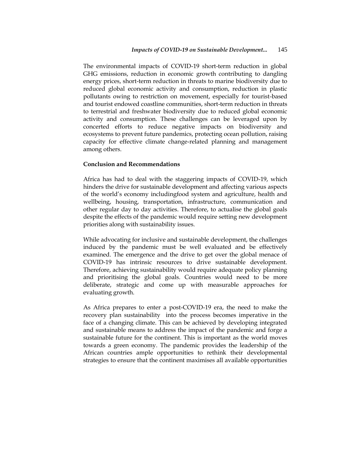The environmental impacts of COVID-19 short-term reduction in global GHG emissions, reduction in economic growth contributing to dangling energy prices, short-term reduction in threats to marine biodiversity due to reduced global economic activity and consumption, reduction in plastic pollutants owing to restriction on movement, especially for tourist-based and tourist endowed coastline communities, short-term reduction in threats to terrestrial and freshwater biodiversity due to reduced global economic activity and consumption. These challenges can be leveraged upon by concerted efforts to reduce negative impacts on biodiversity and ecosystems to prevent future pandemics, protecting ocean pollution, raising capacity for effective climate change-related planning and management among others.

# **Conclusion and Recommendations**

Africa has had to deal with the staggering impacts of COVID-19, which hinders the drive for sustainable development and affecting various aspects of the world's economy includingfood system and agriculture, health and wellbeing, housing, transportation, infrastructure, communication and other regular day to day activities. Therefore, to actualise the global goals despite the effects of the pandemic would require setting new development priorities along with sustainability issues.

While advocating for inclusive and sustainable development, the challenges induced by the pandemic must be well evaluated and be effectively examined. The emergence and the drive to get over the global menace of COVID-19 has intrinsic resources to drive sustainable development. Therefore, achieving sustainability would require adequate policy planning and prioritising the global goals. Countries would need to be more deliberate, strategic and come up with measurable approaches for evaluating growth.

As Africa prepares to enter a post-COVID-19 era, the need to make the recovery plan sustainability into the process becomes imperative in the face of a changing climate. This can be achieved by developing integrated and sustainable means to address the impact of the pandemic and forge a sustainable future for the continent. This is important as the world moves towards a green economy. The pandemic provides the leadership of the African countries ample opportunities to rethink their developmental strategies to ensure that the continent maximises all available opportunities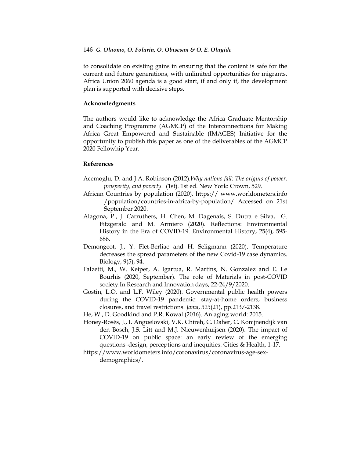to consolidate on existing gains in ensuring that the content is safe for the current and future generations, with unlimited opportunities for migrants. Africa Union 2060 agenda is a good start, if and only if, the development plan is supported with decisive steps.

# **Acknowledgments**

The authors would like to acknowledge the Africa Graduate Mentorship and Coaching Programme (AGMCP) of the Interconnections for Making Africa Great Empowered and Sustainable (IMAGES) Initiative for the opportunity to publish this paper as one of the deliverables of the AGMCP 2020 Fellowhip Year.

# **References**

- Acemoglu, D. and J.A. Robinson (2012).*Why nations fail: The origins of power, prosperity, and poverty*. (1st). 1st ed. New York: Crown, 529.
- African Countries by population (2020). https:// www.worldometers.info /population/countries-in-africa-by-population/ Accessed on 21st September 2020.
- Alagona, P., J. Carruthers, H. Chen, M. Dagenais, S. Dutra e Silva, G. Fitzgerald and M. Armiero (2020). Reflections: Environmental History in the Era of COVID-19. Environmental History, 25(4), 595- 686.
- Demongeot, J., Y. Flet-Berliac and H. Seligmann (2020). Temperature decreases the spread parameters of the new Covid-19 case dynamics. Biology, 9(5), 94.
- Falzetti, M., W. Keiper, A. Igartua, R. Martins, N. Gonzalez and E. Le Bourhis (2020, September). The role of Materials in post-COVID society.In Research and Innovation days, 22-24/9/2020.
- Gostin, L.O. and L.F. Wiley (2020). Governmental public health powers during the COVID-19 pandemic: stay-at-home orders, business closures, and travel restrictions. *Jama*, *323*(21), pp.2137-2138.
- He, W., D. Goodkind and P.R. Kowal (2016). An aging world: 2015.
- Honey-Rosés, J., I. Anguelovski, V.K. Chireh, C. Daher, C. Konijnendijk van den Bosch, J.S. Litt and M.J. Nieuwenhuijsen (2020). The impact of COVID-19 on public space: an early review of the emerging questions–design, perceptions and inequities. Cities & Health, 1-17.
- https://www.worldometers.info/coronavirus/coronavirus-age-sexdemographics/.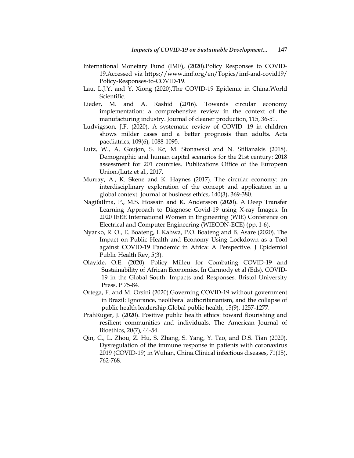- International Monetary Fund (IMF), (2020).Policy Responses to COVID-19.Accessed via https://www.imf.org/en/Topics/imf-and-covid19/ Policy-Responses-to-COVID-19.
- Lau, L.J.Y. and Y. Xiong (2020).The COVID-19 Epidemic in China.World Scientific.
- Lieder, M. and A. Rashid (2016). Towards circular economy implementation: a comprehensive review in the context of the manufacturing industry. Journal of cleaner production, 115, 36-51.
- Ludvigsson, J.F. (2020). A systematic review of COVID‐ 19 in children shows milder cases and a better prognosis than adults. Acta paediatrics, 109(6), 1088-1095.
- Lutz, W., A. Goujon, S. Kc, M. Stonawski and N. Stilianakis (2018). Demographic and human capital scenarios for the 21st century: 2018 assessment for 201 countries. Publications Office of the European Union.(Lutz et al., 2017.
- Murray, A., K. Skene and K. Haynes (2017). The circular economy: an interdisciplinary exploration of the concept and application in a global context. Journal of business ethics, 140(3), 369-380.
- NagifaIlma, P., M.S. Hossain and K. Andersson (2020). A Deep Transfer Learning Approach to Diagnose Covid-19 using X-ray Images. In 2020 IEEE International Women in Engineering (WIE) Conference on Electrical and Computer Engineering (WIECON-ECE) (pp. 1-6).
- Nyarko, R. O., E. Boateng, I. Kahwa, P.O. Boateng and B. Asare (2020). The Impact on Public Health and Economy Using Lockdown as a Tool against COVID-19 Pandemic in Africa: A Perspective. J Epidemiol Public Health Rev, 5(3).
- Olayide, O.E. (2020). Policy Milleu for Combating COVID-19 and Sustainability of African Economies. In Carmody et al (Eds). COVID-19 in the Global South: Impacts and Responses. Bristol University Press. P 75-84.
- Ortega, F. and M. Orsini (2020).Governing COVID-19 without government in Brazil: Ignorance, neoliberal authoritarianism, and the collapse of public health leadership.Global public health, 15(9), 1257-1277.
- PrahRuger, J. (2020). Positive public health ethics: toward flourishing and resilient communities and individuals. The American Journal of Bioethics, 20(7), 44-54.
- Qin, C., L. Zhou, Z. Hu, S. Zhang, S. Yang, Y. Tao, and D.S. Tian (2020). Dysregulation of the immune response in patients with coronavirus 2019 (COVID-19) in Wuhan, China.Clinical infectious diseases, 71(15), 762-768.